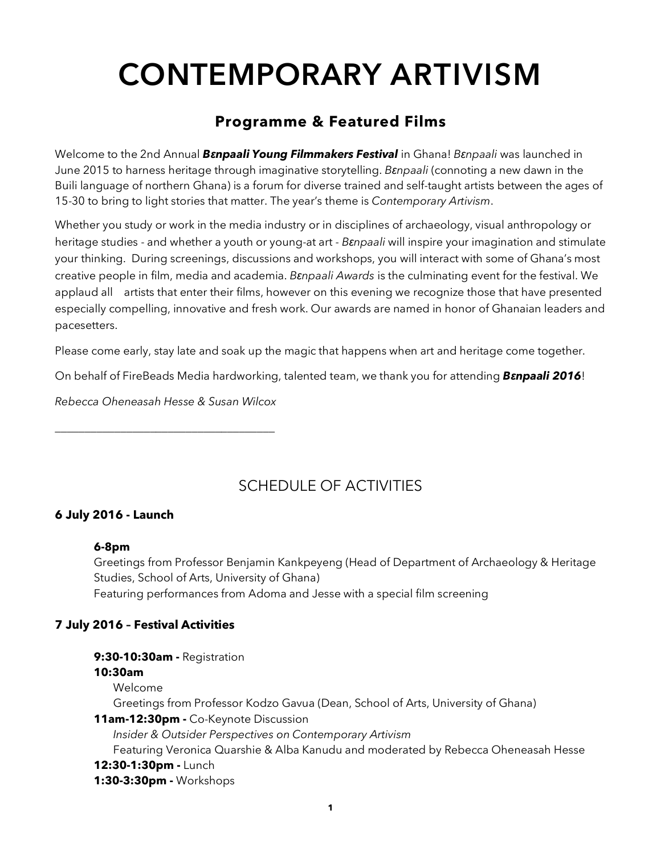# **CONTEMPORARY ARTIVISM**

## **Programme & Featured Films**

Welcome to the 2nd Annual *Bɛnpaali Young Filmmakers Festival* in Ghana! *Bɛnpaali* was launched in June 2015 to harness heritage through imaginative storytelling. *Bɛnpaali* (connoting a new dawn in the Buili language of northern Ghana) is a forum for diverse trained and self-taught artists between the ages of 15-30 to bring to light stories that matter. The year's theme is *Contemporary Artivism*.

Whether you study or work in the media industry or in disciplines of archaeology, visual anthropology or heritage studies - and whether a youth or young-at art - *Bɛnpaali* will inspire your imagination and stimulate your thinking. During screenings, discussions and workshops, you will interact with some of Ghana's most creative people in film, media and academia. *Bɛnpaali Awards* is the culminating event for the festival. We applaud all artists that enter their films, however on this evening we recognize those that have presented especially compelling, innovative and fresh work. Our awards are named in honor of Ghanaian leaders and pacesetters.

Please come early, stay late and soak up the magic that happens when art and heritage come together.

On behalf of FireBeads Media hardworking, talented team, we thank you for attending *Bɛnpaali 2016*!

*Rebecca Oheneasah Hesse & Susan Wilcox*

\_\_\_\_\_\_\_\_\_\_\_\_\_\_\_\_\_\_\_\_\_\_\_\_\_\_\_\_\_\_\_\_\_\_\_\_\_

# SCHEDULE OF ACTIVITIES

## **6 July 2016 - Launch**

## **6-8pm**

Greetings from Professor Benjamin Kankpeyeng (Head of Department of Archaeology & Heritage Studies, School of Arts, University of Ghana) Featuring performances from Adoma and Jesse with a special film screening

## **7 July 2016 – Festival Activities**

**9:30-10:30am -** Registration **10:30am** Welcome Greetings from Professor Kodzo Gavua (Dean, School of Arts, University of Ghana) **11am-12:30pm -** Co-Keynote Discussion *Insider & Outsider Perspectives on Contemporary Artivism* Featuring Veronica Quarshie & Alba Kanudu and moderated by Rebecca Oheneasah Hesse **12:30-1:30pm -** Lunch **1:30-3:30pm -** Workshops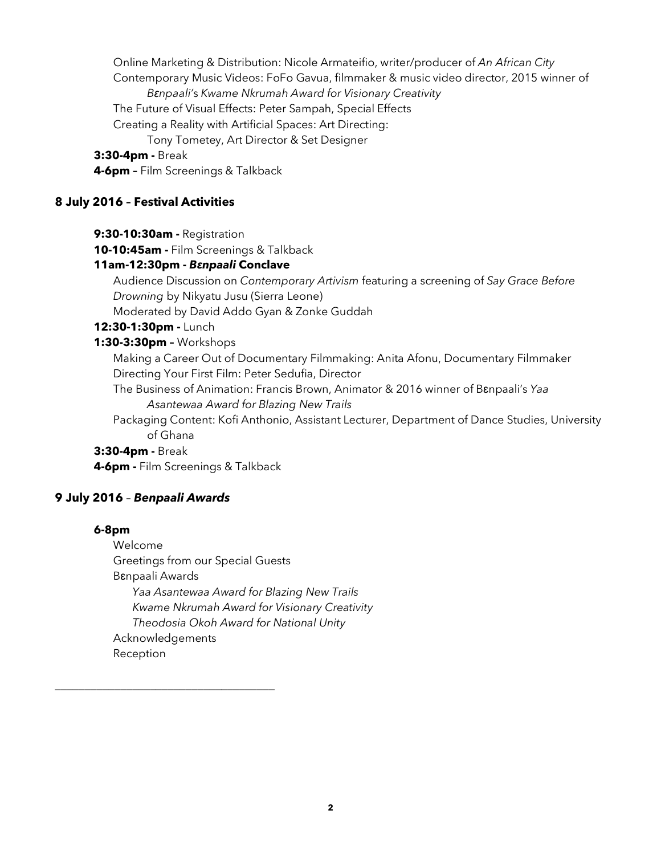Online Marketing & Distribution: Nicole Armateifio, writer/producer of *An African City* Contemporary Music Videos: FoFo Gavua, filmmaker & music video director, 2015 winner of *Bɛnpaali'*s *Kwame Nkrumah Award for Visionary Creativity* The Future of Visual Effects: Peter Sampah, Special Effects Creating a Reality with Artificial Spaces: Art Directing: Tony Tometey, Art Director & Set Designer **3:30-4pm -** Break **4-6pm –** Film Screenings & Talkback

## **8 July 2016 – Festival Activities**

**9:30-10:30am -** Registration

**10-10:45am -** Film Screenings & Talkback

## **11am-12:30pm -** *Bɛnpaali* **Conclave**

Audience Discussion on *Contemporary Artivism* featuring a screening of *Say Grace Before Drowning* by Nikyatu Jusu (Sierra Leone)

Moderated by David Addo Gyan & Zonke Guddah

## **12:30-1:30pm -** Lunch

## **1:30-3:30pm –** Workshops

Making a Career Out of Documentary Filmmaking: Anita Afonu, Documentary Filmmaker Directing Your First Film: Peter Sedufia, Director

The Business of Animation: Francis Brown, Animator & 2016 winner of Bɛnpaali's *Yaa Asantewaa Award for Blazing New Trails*

Packaging Content: Kofi Anthonio, Assistant Lecturer, Department of Dance Studies, University of Ghana

## **3:30-4pm -** Break

**4-6pm -** Film Screenings & Talkback

## **9 July 2016** – *Benpaali Awards*

\_\_\_\_\_\_\_\_\_\_\_\_\_\_\_\_\_\_\_\_\_\_\_\_\_\_\_\_\_\_\_\_\_\_\_\_\_

## **6-8pm**

Welcome Greetings from our Special Guests Bɛnpaali Awards *Yaa Asantewaa Award for Blazing New Trails Kwame Nkrumah Award for Visionary Creativity Theodosia Okoh Award for National Unity* Acknowledgements Reception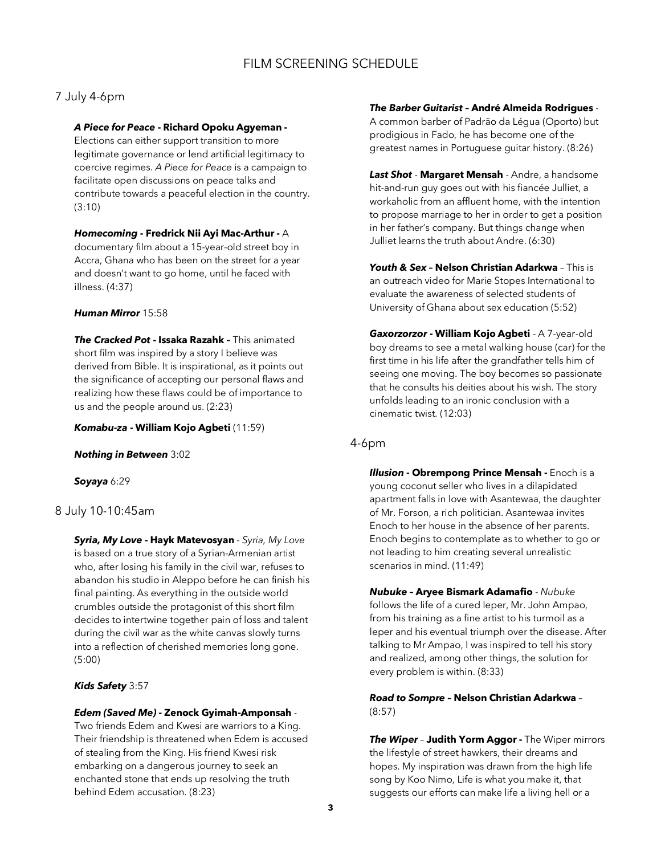## 7 July 4-6pm

#### *A Piece for Peace* **- Richard Opoku Agyeman -**

Elections can either support transition to more legitimate governance or lend artificial legitimacy to coercive regimes. *A Piece for Peace* is a campaign to facilitate open discussions on peace talks and contribute towards a peaceful election in the country. (3:10)

#### *Homecoming* **- Fredrick Nii Ayi Mac-Arthur -** A

documentary film about a 15-year-old street boy in Accra, Ghana who has been on the street for a year and doesn't want to go home, until he faced with illness. (4:37)

#### *Human Mirror* 15:58

*The Cracked Pot* **- Issaka Razahk –** This animated short film was inspired by a story I believe was derived from Bible. It is inspirational, as it points out the significance of accepting our personal flaws and realizing how these flaws could be of importance to us and the people around us. (2:23)

#### *Komabu-za* **- William Kojo Agbeti** (11:59)

*Nothing in Between* 3:02

#### *Soyaya* 6:29

#### 8 July 10-10:45am

*Syria, My Love* **- Hayk Matevosyan** - *Syria, My Love*  is based on a true story of a Syrian-Armenian artist who, after losing his family in the civil war, refuses to abandon his studio in Aleppo before he can finish his final painting. As everything in the outside world crumbles outside the protagonist of this short film decides to intertwine together pain of loss and talent during the civil war as the white canvas slowly turns into a reflection of cherished memories long gone. (5:00)

#### *Kids Safety* 3:57

#### *Edem (Saved Me)* **- Zenock Gyimah-Amponsah** -

Two friends Edem and Kwesi are warriors to a King. Their friendship is threatened when Edem is accused of stealing from the King. His friend Kwesi risk embarking on a dangerous journey to seek an enchanted stone that ends up resolving the truth behind Edem accusation. (8:23)

#### *The Barber Guitarist* **– André Almeida Rodrigues** -

A common barber of Padrão da Légua (Oporto) but prodigious in Fado, he has become one of the greatest names in Portuguese guitar history. (8:26)

*Last Shot* - **Margaret Mensah** - Andre, a handsome hit-and-run guy goes out with his fiancée Julliet, a workaholic from an affluent home, with the intention to propose marriage to her in order to get a position in her father's company. But things change when Julliet learns the truth about Andre. (6:30)

*Youth & Sex* **– Nelson Christian Adarkwa** – This is an outreach video for Marie Stopes International to evaluate the awareness of selected students of University of Ghana about sex education (5:52)

*Gaxorzorzor* **- William Kojo Agbeti** - A 7-year-old boy dreams to see a metal walking house (car) for the first time in his life after the grandfather tells him of seeing one moving. The boy becomes so passionate that he consults his deities about his wish. The story unfolds leading to an ironic conclusion with a cinematic twist. (12:03)

## 4-6pm

*Illusion* **- Obrempong Prince Mensah -** Enoch is a young coconut seller who lives in a dilapidated apartment falls in love with Asantewaa, the daughter of Mr. Forson, a rich politician. Asantewaa invites Enoch to her house in the absence of her parents. Enoch begins to contemplate as to whether to go or not leading to him creating several unrealistic scenarios in mind. (11:49)

*Nubuke* **– Aryee Bismark Adamafio** - *Nubuke* follows the life of a cured leper, Mr. John Ampao, from his training as a fine artist to his turmoil as a leper and his eventual triumph over the disease. After talking to Mr Ampao, I was inspired to tell his story and realized, among other things, the solution for every problem is within. (8:33)

*Road to Sompre* **– Nelson Christian Adarkwa** – (8:57)

*The Wiper* – **Judith Yorm Aggor -** The Wiper mirrors the lifestyle of street hawkers, their dreams and hopes. My inspiration was drawn from the high life song by Koo Nimo, Life is what you make it, that suggests our efforts can make life a living hell or a